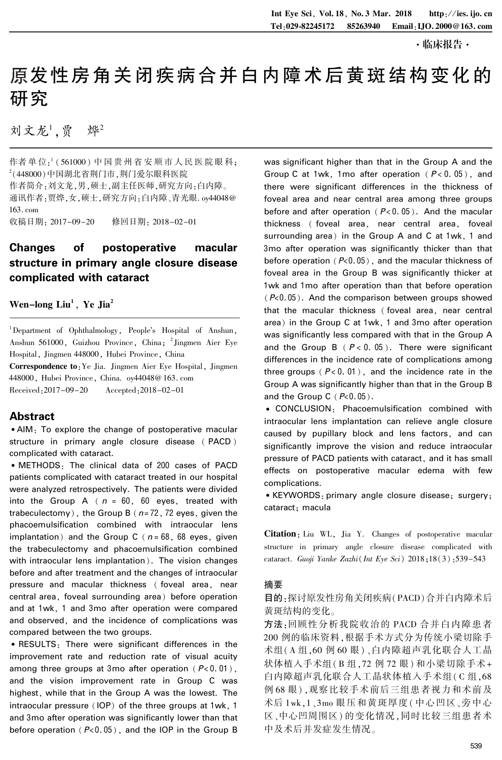# 原发性房角关闭疾病合并白内障术后黄斑结构变化的 研究

刘文龙',贾 烨

作者 单 位: ' (561000) 中 国 贵 州 省 安 顺 市 人 民 医 院 眼 科; 2 (448000)中国湖北省荆门市,荆门爱尔眼科医院 作者简介:刘文龙,男,硕士,副主任医师,研究方向:白内障。 通讯作者:贾烨,女,硕士,研究方向:白内障、青光眼. oy44048@ 163. com 收稿日期: 2017-09-20 修回日期: 2018-02-01

# Changes of postoperative macular structure in primary angle closure disease complicated with cataract

# Wen–long  $\mathbf{Liu}^1$ , Ye Jia<sup>2</sup>

<sup>1</sup>Department of Ophthalmology, People's Hospital of Anshun, Anshun 561000, Guizhou Province, China; 2 Jingmen Aier Eye Hospital, Jingmen 448000, Hubei Province, China

Correspondence to:Ye Jia. Jingmen Aier Eye Hospital, Jingmen 448000, Hubei Province, China. oy44048@ 163. com Received:2017-09-20 Accepted:2018-02-01

# Abstract

<sup>誗</sup>AIM: To explore the change of postoperative macular structure in primary angle closure disease ( PACD ) complicated with cataract.

<sup>誗</sup> METHODS: The clinical data of 200 cases of PACD patients complicated with cataract treated in our hospital were analyzed retrospectively. The patients were divided into the Group A ( $n = 60$ , 60 eyes, treated with trabeculectomy), the Group B ( $n=72$ , 72 eyes, given the phacoemulsification combined with intraocular lens implantation) and the Group C ( $n = 68$ , 68 eyes, given the trabeculectomy and phacoemulsification combined with intraocular lens implantation). The vision changes before and after treatment and the changes of intraocular pressure and macular thickness ( foveal area, near central area, foveal surrounding area) before operation and at 1wk, 1 and 3mo after operation were compared and observed, and the incidence of complications was compared between the two groups.

<sup>誗</sup> RESULTS: There were significant differences in the improvement rate and reduction rate of visual acuity among three groups at 3mo after operation ( $P < 0.01$ ), and the vision improvement rate in Group C was highest, while that in the Group A was the lowest. The intraocular pressure (IOP) of the three groups at 1wk, 1 and 3mo after operation was significantly lower than that before operation ( $P<0.05$ ), and the IOP in the Group B

was significant higher than that in the Group A and the Group C at 1wk, 1mo after operation  $(P< 0.05)$ , and there were significant differences in the thickness of foveal area and near central area among three groups before and after operation ( $P < 0.05$ ). And the macular thickness ( foveal area, near central area, foveal surrounding area) in the Group A and C at 1wk, 1 and 3mo after operation was significantly thicker than that before operation ( $P<0.05$ ), and the macular thickness of foveal area in the Group B was significantly thicker at 1wk and 1mo after operation than that before operation  $(P<0.05)$ . And the comparison between groups showed that the macular thickness ( foveal area, near central area) in the Group C at 1wk, 1 and 3mo after operation was significantly less compared with that in the Group A and the Group B  $(P < 0.05)$ . There were significant differences in the incidence rate of complications among three groups ( $P < 0.01$ ), and the incidence rate in the Group A was significantly higher than that in the Group B and the Group  $C$  ( $P<0.05$ ).

<sup>誗</sup> CONCLUSION: Phacoemulsification combined with intraocular lens implantation can relieve angle closure caused by pupillary block and lens factors, and can significantly improve the vision and reduce intraocular pressure of PACD patients with cataract, and it has small effects on postoperative macular edema with few complications.

<sup>誗</sup>KEYWORDS: primary angle closure disease; surgery; cataract; macula

Citation: Liu WL, Jia Y. Changes of postoperative macular structure in primary angle closure disease complicated with cataract. Guoji Yanke Zazhi(Int Eye Sci) 2018;18(3):539-543

#### 摘要

目的:探讨原发性房角关闭疾病(PACD)合并白内障术后 黄斑结构的变化。

方法:回顾性分析我院收治的 PACD 合并白内障患者 200 例的临床资料,根据手术方式分为传统小梁切除手 术组(A 组,60 例 60 眼) 、白内障超声乳化联合人工晶 状体植入手术组( B 组,72 例 72 眼) 和小梁切除手术+ 白内障超声乳化联合人工晶状体植入手术组( C 组,68 例 68 眼) ,观察比较手术前后三组患者视力和术前及 术后 1wk,1、3mo 眼压和黄斑厚度( 中心凹区、旁中心 区、中心凹周围区) 的变化情况,同时比较三组患者术 中及术后并发症发生情况。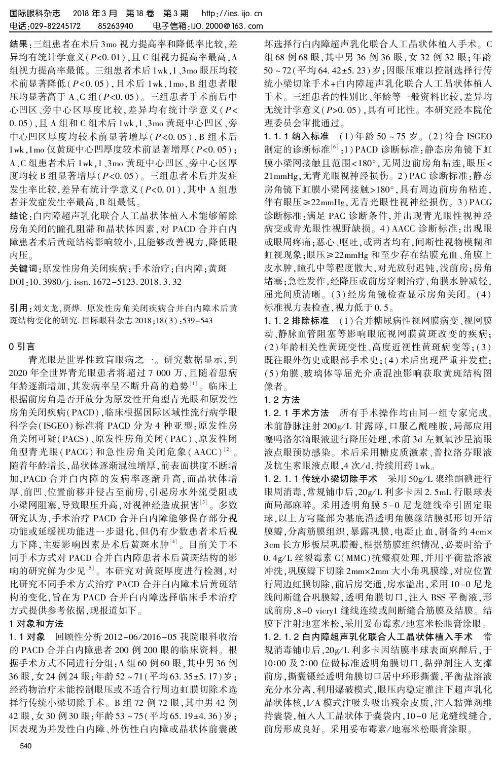结果:三组患者在术后 3mo 视力提高率和降低率比较,差 异均有统计学意义 $(P < 0.01)$ ,且 C 组视力提高率最高, A 组视力提高率最低。 三组患者术后 1wk,1、3mo 眼压均较 术前显著降低(P<0.05),且术后 1wk,1mo,B 组患者眼 压均显著高于 A、C 组( $P$ <0.05)。 三组患者手术前后中 心凹区、旁中心区厚度比较,差异均有统计学意义(P< 0郾 05),且 A 组和 C 组术后 1wk,1、3mo 黄斑中心凹区、旁 中心凹区厚度均较术前显著增厚(P<0.05),B 组术后  $1$ wk, $1$ mo 仅黄斑中心凹厚度较术前显著增厚 $(P< 0.05)$ ; A、C 组患者术后 1wk,1、3mo 黄斑中心凹区、旁中心区厚 度均较 B 组显著增厚(P<0.05)。三组患者术后并发症 发生率比较,差异有统计学意义 $(P< 0.01)$ ,其中 A 组患 者并发症发生率最高,B 组最低。

结论:白内障超声乳化联合人工晶状体植入术能够解除 房角关闭的瞳孔阻滞和晶状体因素,对 PACD 合并白内 障患者术后黄斑结构影响较小,且能够改善视力,降低眼 内压。

关键词:原发性房角关闭疾病;手术治疗;白内障;黄斑 DOI:10. 3980/j. issn. 1672-5123. 2018. 3. 32

引用:刘文龙,贾烨. 原发性房角关闭疾病合并白内障术后黄 斑结构变化的研究. 国际眼科杂志 2018;18(3):539-543

### 0 引言

青光眼是世界性致盲眼病之一。 研究数据显示,到 2020 年全世界青光眼患者将超过 7 000 万,且随着患病 年龄逐渐增加,其发病率呈不断升高的趋势<sup>[1]</sup>。临床上 根据前房角是否开放分为原发性开角型青光眼和原发性 房角关闭疾病(PACD),临床根据国际区域性流行病学眼 科学会(ISGEO) 标准将 PACD 分为 4 种亚型:原发性房 角关闭可疑( PACS)、原发性房角关闭( PAC)、原发性闭 角型青光眼 (  $\text{PACG}$  ) 和急性房角关闭危象 (  $\text{AACC}$  ) $^{[2]}$  。 随着年龄增长,晶状体逐渐混浊增厚,前表面拱度不断增 加,PACD 合并白内障的发病率逐渐升高,而晶状体增 厚、前凹、位置前移并侵占至前房,引起房水外流受阻或 小梁网阻塞,导致眼压升高,对视神经造成损害<sup>[3]</sup>。多数 研究认为,手术治疗 PACD 合并白内障能够保存部分视 功能或延缓视功能进一步退化,但仍有少数患者术后视 力下降,主要影响因素是术后黄斑水肿[4] 。 目前关于不 同手术方式对 PACD 合并白内障患者术后黄斑结构的影 响的研究鲜为少见[5] 。 本研究对黄斑厚度进行检测,对 比研究不同手术方式治疗 PACD 合并白内障术后黄斑结 构的变化,旨在为 PACD 合并白内障选择临床手术治疗 方式提供参考依据,现报道如下。

## 1 对象和方法

1.1 对象 回顾性分析 2012-06/2016-05 我院眼科收治 的 PACD 合并白内障患者 200 例 200 眼的临床资料。 根 据手术方式不同进行分组:A 组 60 例 60 眼,其中男 36 例 36 眼, 女 24 例 24 眼; 年龄 52~71(平均 63.35±5.17) 岁; 经药物治疗未能控制眼压或不适合行周边虹膜切除术选 择行传统小梁切除手术。 B 组 72 例 72 眼,其中男 42 例 42 眼,女 30 例 30 眼;年龄 53 ~ 75(平均 65.19±4.36)岁; 因表现为并发性白内障、外伤性白内障或晶状体前囊破

坏选择行白内障超声乳化联合人工晶状体植入手术。 C 组 68 例 68 眼,其中男 36 例 36 眼,女 32 例 32 眼;年龄 50~72(平均 64.42±5.23)岁;因眼压难以控制选择行传 统小梁切除手术+白内障超声乳化联合人工晶状体植入 手术。 三组患者的性别比、年龄等一般资料比较,差异均 无统计学意义(P>0.05),具有可比性。本研究经本院伦 理委员会审批通过。

1.1.1 纳入标准 (1)年龄 50~75 岁。 (2)符合 ISGEO 制定的诊断标准'<sup>6」</sup>:1)PACD 诊断标准:静态房角镜下虹 膜小梁网接触且范围<180°,无周边前房角粘连,眼压< 21mmHg,无青光眼视神经损伤。 2) PAC 诊断标准:静态 房角镜下虹膜小梁网接触>180°,具有周边前房角粘连, 伴有眼压≥22mmHg,无青光眼性视神经损伤。 3) PACG 诊断标准:满足 PAC 诊断条件,并出现青光眼性视神经 病变或青光眼性视野缺损。 4) AACC 诊断标准:出现眼 或眼周疼痛;恶心、呕吐,或两者均有,间断性视物模糊和 虹视现象;眼压≥22mmHg 和至少存在结膜充血、角膜上 皮水肿,瞳孔中等程度散大,对光放射迟钝,浅前房;房角 堵塞;急性发作,经降压或前房穿刺治疗,角膜水肿减轻, 屈光间质清晰。 (3)经房角镜检查显示房角关闭。 (4) 标准视力表检查,视力低于 0.5。

1.1.2 排除标准 (1)合并糖尿病性视网膜病变、视网膜 动、静脉血管阻塞等影响眼底视网膜黄斑改变的疾病; (2)年龄相关性黄斑变性、高度近视性黄斑病变等;(3) 既往眼外伤史或眼部手术史;(4)术后出现严重并发症; (5)角膜、玻璃体等屈光介质混浊影响获取黄斑结构图 像者。

## 1郾 2 方法

1.2.1 手术方法 所有手术操作均由同一组专家完成。 术前静脉注射 200g/L 甘露醇,口服乙酰唑胺,局部应用 噻吗洛尔滴眼液进行降压处理,术前 3d 左氟氧沙星滴眼 液点眼预防感染。 术后采用糖皮质激素、普拉洛芬眼液 及抗生素眼液点眼,4 次/d,持续用药 1wk。

1.2.1.1 传统小梁切除手术 采用 50g/L 聚维酮碘进行 眼周消毒,常规铺巾后,20g/L 利多卡因 2.5mL 行眼球表 面局部麻醉。 采用透明角膜 5 -0 尼龙缝线牵引固定眼 球,以上方穹隆部为基底沿透明角膜缘结膜弧形切开结 膜瓣,分离筋膜组织,暴露巩膜,电凝止血,制备约 4cm× 3cm 长方形板层巩膜瓣,根据筋膜组织情况,必要时给予 0.4g/L 丝裂霉素 C(MMC)抗瘢痕处理,并用平衡盐溶液 冲洗,巩膜瓣下切除 2mm×2mm 大小角巩膜缘,对应位置 行周边虹膜切除,前后房交通,房水溢出,采用 10-0 尼龙 线间断缝合巩膜瓣,透明角膜切口,注入 BSS 平衡液,形 成前房,8-0 vicry1 缝线连续或间断缝合筋膜及结膜。 结 膜下注射地塞米松,采用妥布霉素/地塞米松眼膏涂眼。

1.2.1.2 白内障超声乳化联合人工晶状体植入手术 常 规消毒铺巾后, 20g/L 利多卡因结膜半球表面麻醉后, 于 10:00 及 2:00 位做标准透明角膜切口,黏弹剂注入支撑 前房,撕囊镊经透明角膜切口居中环形撕囊,平衡盐溶液 充分水分离,利用爆破模式,眼压内稳定灌注下超声乳化 晶状体核,I/ A 模式注吸头吸出残余皮质,注入黏弹剂维 持囊袋,植入人工晶状体于囊袋内,10-0 尼龙缝线缝合, 前房形成良好。采用妥布霉素/地塞米松眼膏涂眼。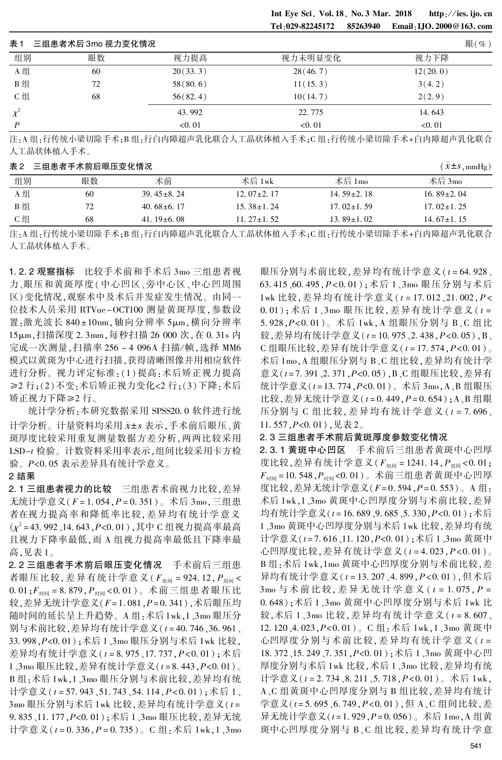Int Eye Sci, Vol. 18, No. 3 Mar. 2018 http://ies. ijo. cn Tel:029-82245172 85263940 Email:IJO. 2000@163. com

| 表 1 | 三组患者术后 3mo 视力变化情况 |           |           | 眼 $(\% )$ |
|-----|-------------------|-----------|-----------|-----------|
| 组别  | 眼数                | 视力提高      | 视力未明显变化   | 视力下降      |
| A 组 | 60                | 20(33.3)  | 28(46.7)  | 12(20.0)  |
| B组  | 72                | 58(80.6)  | 11(15.3)  | 3(4.2)    |
| C组  | 68                | 56(82, 4) | 10(14, 7) | 2(2, 9)   |
|     |                   | 43.992    | 22.775    | 14.643    |
| D   |                   | < 0.01    | < 0.01    | < 0.01    |

注:A 组:行传统小梁切除手术;B 组:行白内障超声乳化联合人工晶状体植入手术;C 组:行传统小梁切除手术+白内障超声乳化联合 人工晶状体植入手术。

表 2 三组患者手术前后眼压变化情况 ( $\bar{x}$ ±s,mmHg)

|     |     |                  |                  |                  | $\cup$ /         |
|-----|-----|------------------|------------------|------------------|------------------|
| 组别  | 眼数  | 术前               | 术后 1wk           | 术后 $1\text{mo}$  | 术后 3mo           |
| A组  | -60 | $39.45 \pm 8.24$ | $12.07 \pm 2.17$ | 14.59 $\pm$ 2.18 | 16.89 $\pm$ 2.04 |
| B 组 | 72  | $40.68\pm 6.17$  | $15.38 \pm 1.24$ | $17.02\pm1.59$   | $17.02 \pm 1.25$ |
| C 组 | 68  | 41. $19\pm6.08$  | $11.27 \pm 1.52$ | 13.89 $\pm$ 1.02 | 14.67 $\pm$ 1.15 |

注: A 组:行传统小梁切除手术; B 组:行白内障超声乳化联合人工晶状体植入手术; C 组:行传统小梁切除手术+白内障超声乳化联合 人工晶状体植入手术。

1.2.2 观察指标 比较手术前和手术后 3mo 三组患者视 力、眼压和黄斑厚度(中心凹区、旁中心区、中心凹周围 区)变化情况,观察术中及术后并发症发生情况。 由同一 位技术人员采用 RTVue-OCT100 测量黄斑厚度,参数设 置:激光波长 840±10nm,轴向分辨率 5µm,横向分辨率 15μm,扫描深度 2.3mm,每秒扫描 26 000 次,在 0.31s 内 完成一次测量,扫描率 256~4 096A 扫描/帧,选择 MM6 模式以黄斑为中心进行扫描,获得清晰图像并用相应软件 进行分析。 视力评定标准:(1) 提高:术后矫正视力提高 ≥2 行;(2)不变:术后矫正视力变化<2 行;(3)下降:术后 矫正视力下降≥2行。

统计学分析: 本研究数据采用 SPSS20.0 软件进行统 计学分析。计量资料均采用 x±s 表示,手术前后眼压、黄 斑厚度比较采用重复测量数据方差分析,两两比较采用 LSD-t 检验。 计数资料采用率表示,组间比较采用卡方检 验。 P<0.05 表示差异具有统计学意义。

#### 2 结果

2.1 三组患者视力的比较 三组患者术前视力比较,差异 无统计学意义( $F = 1.054$ , $P = 0.351$ )。术后 3mo,三组患 者在视力提高率和降低率比较,差异均有统计学意义  $(\chi^2$  = 43. 992、14. 643 , P<0. 01), 其中 C 组视力提高率最高 且视力下降率最低,而 A 组视力提高率最低且下降率最 高,见表 1。

2.2 三组患者手术前后眼压变化情况 手术前后三组患 者眼压比较,差异有统计学意义( $F_{\text{4H}}$  = 924.12, $P_{\text{4H}}$  <  $0.01; F_{\text{min}} = 8.879, P_{\text{min}} < 0.01$ )。术前三组患者眼压比 较,差异无统计学意义 $(F=1.081, P=0.341)$ ,术后眼压均 随时间的延长呈上升趋势。 A 组:术后1wk,1、3mo 眼压分 别与术前比较,差异均有统计学意义( $t = 40.746$ 、36.961、 33.998, P<0.01); 术后 1、3mo 眼压分别与术后 1wk 比较, 差异均有统计学意义(t=8.975、17.737,P<0.01);术后 1、3mo 眼压比较, 差异有统计学意义 (t = 8.443, P<0.01)。 B 组:术后 1wk,1、3mo 眼压分别与术前比较,差异均有统 计学意义( $t = 57.943, 51.743, 54.114, P < 0.01$ ); 术后 1、 3mo 眼压分别与术后 1wk 比较,差异均有统计学意义( $t =$ 9.835、11.177, P<0.01); 术后 1、3mo 眼压比较, 差异无统 计学意义( $t = 0.336$ ,  $P = 0.735$ )。 C 组: 术后 1wk, 1、3mo

眼压分别与术前比较,差异均有统计学意义( $t = 64.928$ 、 63.415、60.495, P<0.01);术后 1、3mo 眼压分别与术后 1wk 比较, 差异均有统计学意义 (t = 17.012、21.002, P<  $(0.01); \n \hat{K}$ 后 1、3mo 眼压比较, 差异有统计学意义( $t =$ 5.928, P<0.01)。术后 1wk, A 组眼压分别与 B、C 组比 较,差异均有统计学意义( $t = 10.975$ 、2.438, $P < 0.05$ ), B、  $C$ 组眼压比较, 差异有统计学意义( $t = 17.574$ ,  $P < 0.01$ )。 术后 1mo,A 组眼压分别与 B、C 组比较,差异均有统计学 意义(t=7.391、2.371, P<0.05), B、C组眼压比较, 差异有 统计学意义( $t = 13.774$ , $P < 0.01$ )。术后 3mo, A、B 组眼压 比较,差异无统计学意义 $(t = 0.449, P = 0.654)$ ; A、B组眼 压分别与 C 组比较, 差异均有统计学意义 ( $t = 7.696$ 、 11.557,  $P<0.01$ ), 见表 2。

#### 2.3 三组患者手术前后黄斑厚度参数变化情况

2.3.1 黄斑中心凹区 手术前后三组患者黄斑中心凹厚 度比较,差异有统计学意义( $F_{\text{diff}} = 1241.14$ , $P_{\text{diff}} < 0.01$ ;  $F_{\text{thm}} = 10.548$ ,  $P_{\text{thm}} < 0.01$ )。 术前三组患者黄斑中心凹厚 度比较,差异无统计学意义( $F = 0.594$ , $P = 0.553$ )。 A 组: 术后 1wk,1、3mo 黄斑中心凹厚度分别与术前比较,差异 均有统计学意义( $t = 16.689$  9.685 5.330,P<0.01);术后 1、3mo 黄斑中心凹厚度分别与术后 1wk 比较,差异均有统 计学意义(t=7.616、11.120,P<0.01);术后 1、3mo 黄斑中 心凹厚度比较, 差异有统计学意义 ( $t = 4.023$ ,  $P < 0.01$ )。 B 组:术后 1wk,1mo 黄斑中心凹厚度分别与术前比较,差 异均有统计学意义(t=13.207、4.899,P<0.01),但术后  $3 \text{mo}$  与术 前 比 较, 美 异 无 统 计 学 意 义 (  $t = 1.075$ ,  $P =$ 0郾 648);术后 1、3mo 黄斑中心凹厚度分别与术后 1wk 比 较,术后  $1$ 、3mo 比较, 差异均有统计学意义 ( $t = 8.607$ 、 12.120、4.023, P<0.01)。 C组: 术后 1wk, 1、3mo 黄斑中 心凹厚度分别与术前比较,差异均有统计学意义 (t = 18.372、15.249、7.351,P<0.01);术后 1、3mo 黄斑中心凹 厚度分别与术后 1wk 比较,术后 1、3mo 比较,差异均有统 计学意义( $t = 2.734$ 、8.211、5.718,P<0.01)。术后 1wk, A、C 组黄斑中心凹厚度分别与 B 组比较,差异均有统计 学意义( $t = 5.695$  ,  $6.749$  ,  $P < 0.01$ ), 但 A , C 组间比较, 差 异无统计学意义 $(t = 1.929, P = 0.056)$ 。术后 1mo, A 组黄 斑中心凹厚度分别与 B、C 组比较,差异均有统计学意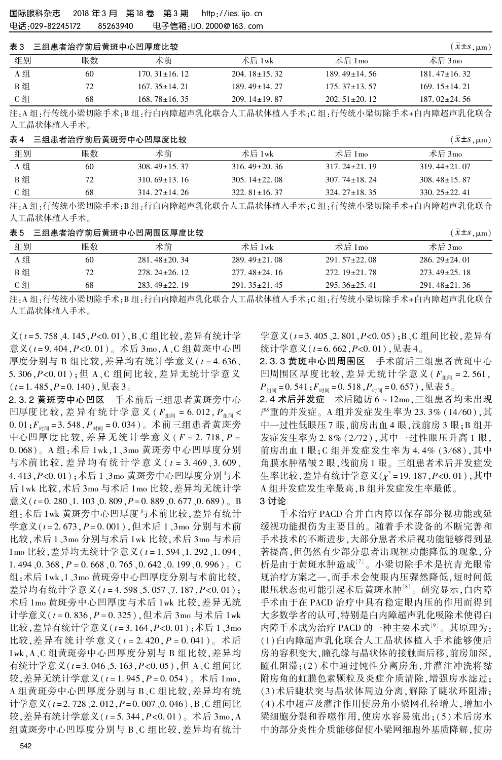# 三组串考治疗前后黄斑由心凹厚度比较 3  $( \bar{Y} + S, u_m )$

|     |    |                    |                    |                    | $\sim -1$ , $\mu$ m, |
|-----|----|--------------------|--------------------|--------------------|----------------------|
| 组别  | 眼数 | 术前                 | 术后 1wk             | 术后 $1\text{mo}$    | 术后 3mo               |
| A 组 | 60 | $170.31 \pm 16.12$ | $204.18 \pm 15.32$ | $189.49 \pm 14.56$ | $181.47 \pm 16.32$   |
| B组  | 72 | $167.35 + 14.21$   | $189.49 \pm 14.27$ | $175.37 \pm 13.57$ | $169.15 \pm 14.21$   |
| C 组 | 68 | $168.78 \pm 16.35$ | $209.14 \pm 19.87$ | $202.51 \pm 20.12$ | $187.02 \pm 24.56$   |

注: A 组:行传统小梁切除手术; B 组:行白内障超声乳化联合人工晶状体植入手术; C 组:行传统小梁切除手术+白内障超声乳化联合 人工晶状体植入手术。

#### <sup>表</sup> <sup>4</sup> 三组患者治疗前后黄斑旁中心凹厚度比较 (x軃依s,滋m)

|     |    |                    |                    |                    | $\sqrt{2}$         |
|-----|----|--------------------|--------------------|--------------------|--------------------|
| 组别  | 眼数 | 术前                 | 术后 1wk             | 术后 1 $_{\rm{mo}}$  | 术后 3mo             |
| A组  | 60 | $308.49 \pm 15.37$ | $316.49 \pm 20.36$ | $317.24 \pm 21.19$ | $319.44 \pm 21.07$ |
| B组  | 72 | $310.69 \pm 13.16$ | $305.14 \pm 22.08$ | $307.74 \pm 18.24$ | $308.48 \pm 15.87$ |
| C 组 | 68 | $314.27 \pm 14.26$ | $322.81 \pm 16.37$ | $324.27 \pm 18.35$ | $330.25 \pm 22.41$ |

注: A 组: 行传统小梁切除手术; B 组: 行白内障超声乳化联合人工晶状体植入手术; C 组: 行传统小梁切除手术+白内障超声乳化联合 人工晶状体植入手术。

表 5 三组患者治疗前后黄斑中心凹周围区厚度比较 ( $\bar{x}$ ±s , ,,,,,,)

| 组别  | 眼数 | 术前                 | 术后 1wk             | 术后 1mo             | 术后 3mo             |
|-----|----|--------------------|--------------------|--------------------|--------------------|
| A组  | 60 | $281.48 \pm 20.34$ | $289.49 \pm 21.08$ | $291.57 \pm 22.08$ | $286.29 \pm 24.01$ |
| B 组 | 72 | $278.24 \pm 26.12$ | $277.48 \pm 24.16$ | $272.19 \pm 21.78$ | $273.49 \pm 25.18$ |
| C 组 | 68 | $283.49 \pm 22.19$ | $291.35 \pm 21.45$ | $295.36 \pm 25.41$ | $291.48 \pm 21.36$ |

注:A 组:行传统小梁切除手术;B 组:行白内障超声乳化联合人工晶状体植入手术;C 组:行传统小梁切除手术+白内障超声乳化联合 人工晶状体植入手术。

 $\chi$ ( $t = 5.758$ 、4.145,P<0.01),B、C组比较,差异有统计学 意义( $t = 9.404$ ,  $P < 0.01$ )。术后 3mo, A、C 组黄斑中心凹 厚度分别与 B 组比较, 差异均有统计学意义 ( $t = 4.636$ 、 5.306,P<0.01);但 A、C 组间比较,差异无统计学意义  $(t = 1.485, P = 0.140)$ ,见表 3。

2.3.2 黄斑旁中心凹区 手术前后三组患者黄斑旁中心 凹厚度比较, 差异有统计学意义 ( $F_{\text{dim}} = 6.012$ ,  $P_{\text{dim}} <$  $0.01; F_{\text{th}} = 3.548, P_{\text{th}} = 0.034$ )。 术前三组患者黄斑旁 中心凹厚度 比 较, 差 异 无 统 计 学 意 义 ( F = 2. 718, P = 0郾 068)。 A 组:术后 1wk,1、3mo 黄斑旁中心凹厚度分别 与术前比较, 差异均有统计学意义 ( $t = 3.469, 3.609$ 、 4.413, P<0.01); 术后 1、3mo 黄斑旁中心凹厚度分别与术 后 1wk 比较,术后 3mo 与术后 1mo 比较,差异均无统计学  $\hat{\mathbb{E}}$   $\mathbb{X}$  (t=0, 280, 1, 103, 0, 809,  $P=0.889$ , 0, 677, 0, 689). B 组:术后 1wk 黄斑旁中心凹厚度与术前比较,差异有统计 学意义 $(t = 2.673, P = 0.001)$ ,但术后 1、3mo 分别与术前 比较,术后 1、3mo 分别与术后 1wk 比较,术后 3mo 与术后 1mo 比较,差异均无统计学意义(t=1.594、1.292、1.094、 1. 494, 0. 368,  $P = 0.668$ , 0. 765, 0. 642, 0. 199, 0. 996). C 组:术后 1wk,1、3mo 黄斑旁中心凹厚度分别与术前比较, 差异均有统计学意义( $t = 4.598$ 、5.057、7.187,P<0.01); 术后 1mo 黄斑旁中心凹厚度与术后 1wk 比较,差异无统 计学意义 $(t = 0.836, P = 0.325)$ ,但术后 3mo 与术后 1wk 比较,差异有统计学意义 $(t = 3.164, P < 0.01)$ ; 术后 1、3mo 比较,差异有统计学意义 ( $t = 2.420$ ,  $P = 0.041$ )。术后 1wk,A、C 组黄斑旁中心凹厚度分别与 B 组比较,差异均 有统计学意义( $t = 3.046, 5.163, P < 0.05$ ),但 A、C 组间比 较,差异无统计学意义 $(t = 1.945, P = 0.054)$ 。术后 1mo, A 组黄斑旁中心凹厚度分别与 B、C 组比较,差异均有统 计学意义( $t = 2.728$ 、2.012,P=0.007、0.046),B、C组间比 较,差异有统计学意义( $t = 5.344$ , $P < 0.01$ )。术后 3mo, A 组黄斑旁中心凹厚度分别与 B、C 组比较,差异均有统计

学意义( $t = 3.405$ 、2.801, $P < 0.05$ );B、C组间比较,差异有 统计学意义 $(t = 6.662, P < 0.01)$ ,见表 4。

2.3.3 黄斑中心凹周围区 手术前后三组患者黄斑中心 凹周围区厚度比较,差异无统计学意义( $F_{\text{dim}} = 2.561$ ,  $P_{\text{min}} = 0.541; F_{\text{min}} = 0.518, P_{\text{min}} = 0.657$ ),见表5。

2.4 术后并发症 术后随访 6~12mo,三组患者均未出现 严重的并发症。A 组并发症发生率为 23.3% (14/60),其 中一过性低眼压 7 眼, 前房出血 4 眼, 浅前房 3 眼; B 组并 发症发生率为 2.8% (2/72),其中一过性眼压升高 1 眼, 前房出血 1 眼; C 组并发症发生率为 4.4% (3/68), 其中 角膜水肿褶皱 2 眼,浅前房 1 眼。 三组患者术后并发症发 生率比较,差异有统计学意义( $\chi^2$ =19.187, $P$ <0.01),其中 A 组并发症发生率最高,B 组并发症发生率最低。

#### 3 讨论

手术治疗 PACD 合并白内障以保存部分视功能或延 缓视功能损伤为主要目的。 随着手术设备的不断完善和 手术技术的不断进步,大部分患者术后视功能能够得到显 著提高,但仍然有少部分患者出现视功能降低的现象,分 析是由于黄斑水肿造成[7] 。 小梁切除手术是抗青光眼常 规治疗方案之一,而手术会使眼内压骤然降低,短时间低 眼压状态也可能引起术后黄斑水肿[8] 。 研究显示,白内障 手术由于在 PACD 治疗中具有稳定眼内压的作用而得到 大多数学者的认可,特别是白内障超声乳化吸除术使得白 内障手术成为治疗 PACD 的一种主要术式'<sup>9」</sup>。其原理为: (1)白内障超声乳化联合人工晶状体植入手术能够使后 房的容积变大,瞳孔缘与晶状体的接触面后移,前房加深, 瞳孔阻滞;(2) 术中通过钝性分离房角,并灌注冲洗将黏 附房角的虹膜色素颗粒及炎症介质清除,增强房水滤过; (3)术后睫状突与晶状体周边分离,解除了睫状环阻滞; (4)术中超声及灌注作用使房角小梁网孔径增大,增加小 梁细胞分裂和吞噬作用,使房水容易流出;(5) 术后房水 中的部分炎性介质能够促使小梁网细胞外基质降解,使房